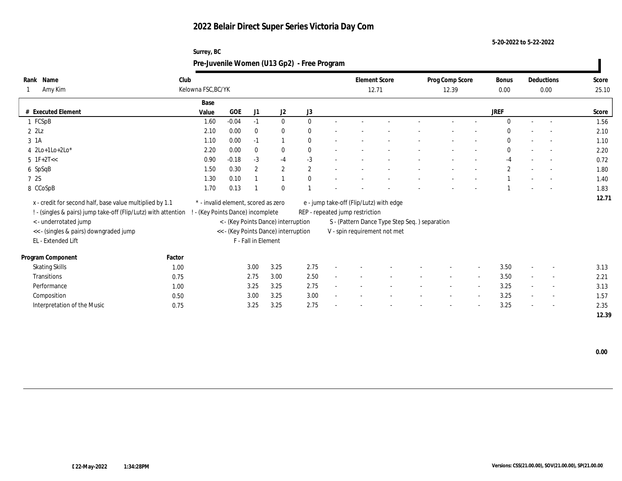**Surrey, BC**

**5-20-2022 to 5-22-2022**

|                                                                |        | Pre-Juvenile Women (U13 Gp2) - Free Program |         |                     |                                      |              |                                         |                                               |                 |                          |              |        |            |       |
|----------------------------------------------------------------|--------|---------------------------------------------|---------|---------------------|--------------------------------------|--------------|-----------------------------------------|-----------------------------------------------|-----------------|--------------------------|--------------|--------|------------|-------|
| Rank Name                                                      | Club   |                                             |         |                     |                                      |              | <b>Element Score</b>                    |                                               | Prog Comp Score |                          | <b>Bonus</b> |        | Deductions | Score |
| Amy Kim                                                        |        | Kelowna FSC, BC/YK                          |         |                     |                                      |              | 12.71                                   |                                               | 12.39           |                          | 0.00         |        | 0.00       | 25.10 |
|                                                                |        | Base                                        |         |                     |                                      |              |                                         |                                               |                 |                          |              |        |            |       |
| # Executed Element                                             |        | Value                                       | GOE     | J1                  | J2                                   | J3           |                                         |                                               |                 |                          | <b>JREF</b>  |        |            | Score |
| 1 FCSpB                                                        |        | 1.60                                        | $-0.04$ | $-1$                | $\mathbf{0}$                         | $\Omega$     |                                         |                                               |                 |                          | $\Omega$     | $\sim$ |            | 1.56  |
| $2$ $2$ Lz                                                     |        | 2.10                                        | 0.00    | $\Omega$            | $\bf{0}$                             | 0            |                                         |                                               |                 |                          |              |        |            | 2.10  |
| $3 \text{ } 1A$                                                |        | 1.10                                        | 0.00    | $-1$                |                                      | 0            |                                         |                                               |                 |                          |              |        |            | 1.10  |
| $4 \text{2Lo+1Lo+2Lo*}$                                        |        | 2.20                                        | 0.00    | $\theta$            | $\bf{0}$                             |              |                                         |                                               |                 |                          | $\theta$     |        | $\sim$     | 2.20  |
| $5$ 1F+2T <<                                                   |        | 0.90                                        | $-0.18$ | $-3$                | $-4$                                 | $-3$         |                                         |                                               |                 |                          | $-4$         |        |            | 0.72  |
| 6 SpSqB                                                        |        | 1.50                                        | 0.30    | $\overline{2}$      | $\mathbf{2}$                         | $\mathbf{2}$ |                                         |                                               |                 |                          | $\mathbf{2}$ |        | $\sim$     | 1.80  |
| 7 2S                                                           |        | 1.30                                        | 0.10    |                     |                                      | 0            |                                         |                                               |                 |                          |              |        |            | 1.40  |
| 8 CCoSpB                                                       |        | 1.70                                        | 0.13    |                     | $\mathbf{0}$                         |              |                                         |                                               |                 |                          |              |        |            | 1.83  |
| x - credit for second half, base value multiplied by 1.1       |        | * - invalid element, scored as zero         |         |                     |                                      |              | e - jump take-off (Flip/Lutz) with edge |                                               |                 |                          |              |        |            | 12.71 |
| ! - (singles & pairs) jump take-off (Flip/Lutz) with attention |        | - (Key Points Dance) incomplete             |         |                     |                                      |              | REP - repeated jump restriction         |                                               |                 |                          |              |        |            |       |
| <- underrotated jump                                           |        |                                             |         |                     | < - (Key Points Dance) interruption  |              |                                         | S - (Pattern Dance Type Step Seq.) separation |                 |                          |              |        |            |       |
| << - (singles & pairs) downgraded jump                         |        |                                             |         |                     | << - (Key Points Dance) interruption |              | V - spin requirement not met            |                                               |                 |                          |              |        |            |       |
| EL - Extended Lift                                             |        |                                             |         | F - Fall in Element |                                      |              |                                         |                                               |                 |                          |              |        |            |       |
|                                                                |        |                                             |         |                     |                                      |              |                                         |                                               |                 |                          |              |        |            |       |
| Program Component                                              | Factor |                                             |         |                     |                                      |              |                                         |                                               |                 |                          |              |        |            |       |
| <b>Skating Skills</b>                                          | 1.00   |                                             |         | 3.00                | 3.25                                 | 2.75         |                                         |                                               |                 | $\overline{\phantom{a}}$ | 3.50         |        |            | 3.13  |
| Transitions                                                    | 0.75   |                                             |         | 2.75                | 3.00                                 | 2.50         |                                         |                                               |                 | $\overline{\phantom{a}}$ | 3.50         |        |            | 2.21  |
| Performance                                                    | 1.00   |                                             |         | 3.25                | 3.25                                 | 2.75         |                                         |                                               |                 | $\sim$                   | 3.25         |        | $\sim$     | 3.13  |
| Composition                                                    | 0.50   |                                             |         | 3.00                | 3.25                                 | 3.00         |                                         |                                               |                 | $\sim$                   | 3.25         |        | $\sim$     | 1.57  |
| Interpretation of the Music                                    | 0.75   |                                             |         | 3.25                | 3.25                                 | 2.75         |                                         |                                               |                 |                          | 3.25         |        |            | 2.35  |
|                                                                |        |                                             |         |                     |                                      |              |                                         |                                               |                 |                          |              |        |            | 12.39 |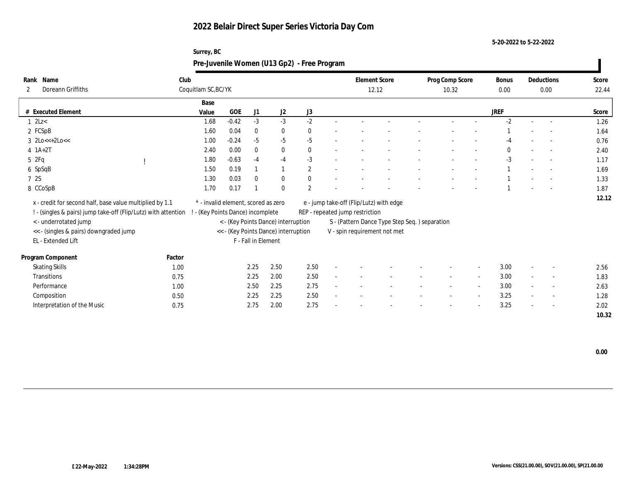**Surrey, BC**

**5-20-2022 to 5-22-2022**

|                                                                |                                     |            |                     |                                      | Pre-Juvenile Women (U13 Gp2) - Free Program |                                         |                                               |                          |                          |               |                    |                |
|----------------------------------------------------------------|-------------------------------------|------------|---------------------|--------------------------------------|---------------------------------------------|-----------------------------------------|-----------------------------------------------|--------------------------|--------------------------|---------------|--------------------|----------------|
| Rank Name<br>Doreann Griffiths<br>2                            | Club<br>Coquitlam SC, BC/YK         |            |                     |                                      |                                             | <b>Element Score</b><br>12.12           |                                               | Prog Comp Score<br>10.32 |                          | Bonus<br>0.00 | Deductions<br>0.00 | Score<br>22.44 |
|                                                                | Base                                |            |                     |                                      |                                             |                                         |                                               |                          |                          |               |                    |                |
| # Executed Element                                             | Value                               | <b>GOE</b> | J1                  | J <sub>2</sub>                       | J3                                          |                                         |                                               |                          |                          | <b>JREF</b>   |                    | Score          |
| $1 \text{ } 2 \text{L}$                                        | 1.68                                | $-0.42$    | $-3$                | $-3$                                 | $-2$                                        |                                         |                                               |                          |                          | $-2$          |                    | 1.26           |
| 2 FCSpB                                                        | 1.60                                | 0.04       | $\theta$            | $\bf{0}$                             | 0                                           |                                         |                                               |                          |                          |               |                    | 1.64           |
| $3 \text{ } 2\text{Lo}<<+2\text{Lo}<<$                         | 1.00                                | $-0.24$    | $-5$                | -5                                   | $-5$                                        |                                         |                                               |                          |                          | $-4$          |                    | 0.76           |
| $4$ 1A+2T                                                      | 2.40                                | 0.00       | $\Omega$            | $\bf{0}$                             | $\mathbf{0}$                                |                                         |                                               |                          |                          | $\mathbf{0}$  | $\sim$             | 2.40           |
| 52Fq                                                           | 1.80                                | $-0.63$    | $-4$                | $-4$                                 | $-3$                                        |                                         |                                               |                          |                          | $-3$          |                    | 1.17           |
| 6 SpSqB                                                        | 1.50                                | 0.19       |                     |                                      | $\overline{2}$                              |                                         |                                               |                          |                          |               |                    | 1.69           |
| 7 2S                                                           | 1.30                                | 0.03       | $\theta$            | $\bf{0}$                             | $\Omega$                                    |                                         |                                               |                          |                          |               |                    | 1.33           |
| 8 CCoSpB                                                       | 1.70                                | 0.17       |                     | $\mathbf{0}$                         | $\overline{2}$                              |                                         |                                               |                          |                          |               |                    | 1.87           |
| x - credit for second half, base value multiplied by 1.1       | * - invalid element, scored as zero |            |                     |                                      |                                             | e - jump take-off (Flip/Lutz) with edge |                                               |                          |                          |               |                    | 12.12          |
| ! - (singles & pairs) jump take-off (Flip/Lutz) with attention | - (Key Points Dance) incomplete     |            |                     |                                      |                                             | REP - repeated jump restriction         |                                               |                          |                          |               |                    |                |
| < - underrotated jump                                          |                                     |            |                     | < - (Key Points Dance) interruption  |                                             |                                         | S - (Pattern Dance Type Step Seq.) separation |                          |                          |               |                    |                |
| << - (singles & pairs) downgraded jump                         |                                     |            |                     | << - (Key Points Dance) interruption |                                             | V - spin requirement not met            |                                               |                          |                          |               |                    |                |
| EL - Extended Lift                                             |                                     |            | F - Fall in Element |                                      |                                             |                                         |                                               |                          |                          |               |                    |                |
|                                                                |                                     |            |                     |                                      |                                             |                                         |                                               |                          |                          |               |                    |                |
| Program Component                                              | Factor                              |            |                     |                                      |                                             |                                         |                                               |                          |                          |               |                    |                |
| <b>Skating Skills</b>                                          | 1.00                                |            | 2.25                | 2.50                                 | 2.50                                        |                                         |                                               |                          | $\overline{\phantom{a}}$ | 3.00          |                    | 2.56           |
| Transitions                                                    | 0.75                                |            | 2.25                | 2.00                                 | 2.50                                        |                                         |                                               |                          | $\sim$                   | 3.00          |                    | 1.83           |
| Performance                                                    | 1.00                                |            | 2.50                | 2.25                                 | 2.75                                        |                                         |                                               |                          | $\sim$                   | 3.00          |                    | 2.63           |
| Composition                                                    | 0.50                                |            | 2.25                | 2.25                                 | 2.50                                        |                                         |                                               |                          | $\sim$                   | 3.25          |                    | 1.28           |
| Interpretation of the Music                                    | 0.75                                |            | 2.75                | 2.00                                 | 2.75                                        |                                         |                                               |                          |                          | 3.25          |                    | 2.02           |
|                                                                |                                     |            |                     |                                      |                                             |                                         |                                               |                          |                          |               |                    | 10.32          |

 **0.00**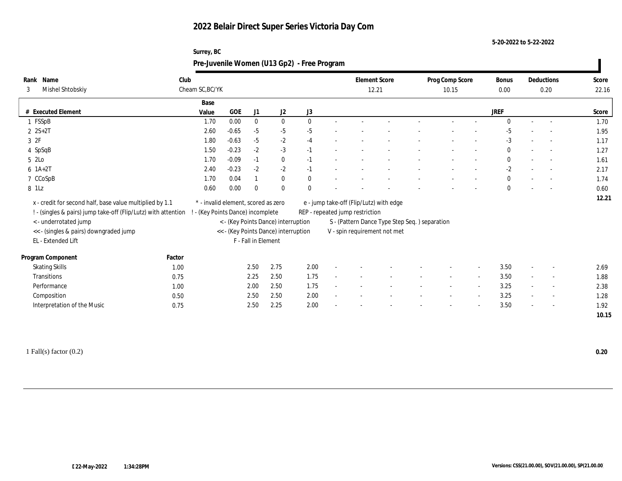**5-20-2022 to 5-22-2022**

|       |                                                                |      | Surrey, BC                          |         |                     |                                      | Pre-Juvenile Women (U13 Gp2) - Free Program |                                         |                                               |                 |                          |              |                          |       |
|-------|----------------------------------------------------------------|------|-------------------------------------|---------|---------------------|--------------------------------------|---------------------------------------------|-----------------------------------------|-----------------------------------------------|-----------------|--------------------------|--------------|--------------------------|-------|
|       | Rank Name                                                      | Club |                                     |         |                     |                                      |                                             | <b>Element Score</b>                    |                                               | Prog Comp Score |                          | <b>Bonus</b> | Deductions               | Score |
| 3     | Mishel Shtobskiy                                               |      | Cheam SC, BC/YK                     |         |                     |                                      |                                             | 12.21                                   |                                               | 10.15           |                          | $0.00\,$     | 0.20                     | 22.16 |
|       |                                                                |      | Base                                |         |                     |                                      |                                             |                                         |                                               |                 |                          |              |                          |       |
|       | # Executed Element                                             |      | Value                               | GOE     | J1                  | J <sub>2</sub>                       | J3                                          |                                         |                                               |                 |                          | <b>JREF</b>  |                          | Score |
|       | 1 FSSpB                                                        |      | 1.70                                | 0.00    | $\mathbf{0}$        | $\mathbf{0}$                         | $\Omega$                                    |                                         |                                               |                 |                          | $\Omega$     |                          | 1.70  |
|       | $2 S+2T$                                                       |      | 2.60                                | $-0.65$ | $-5$                | $-5$                                 | $-5$                                        |                                         |                                               |                 |                          | -5           |                          | 1.95  |
| 3 2F  |                                                                |      | 1.80                                | $-0.63$ | $-5$                | $-2$                                 | $-4$                                        |                                         |                                               |                 |                          | $-3$         | $\overline{\phantom{a}}$ | 1.17  |
|       | 4 SpSqB                                                        |      | 1.50                                | $-0.23$ | $-2$                | $-3$                                 | $-1$                                        |                                         |                                               |                 |                          | $\mathbf{0}$ | $\overline{\phantom{a}}$ | 1.27  |
| 5 2Lo |                                                                |      | 1.70                                | $-0.09$ | $-1$                | $\bf{0}$                             | $-1$                                        |                                         |                                               |                 |                          | $\Omega$     |                          | 1.61  |
|       | $6 \; 1A+2T$                                                   |      | 2.40                                | $-0.23$ | $-2$                | $-2$                                 | $-1$                                        |                                         |                                               |                 |                          | $-2$         | $\overline{\phantom{a}}$ | 2.17  |
|       | 7 CCoSpB                                                       |      | 1.70                                | 0.04    |                     | $\mathbf{0}$                         | $\Omega$                                    |                                         |                                               |                 |                          | $\mathbf{0}$ | $\overline{\phantom{a}}$ | 1.74  |
| 8 1Lz |                                                                |      | 0.60                                | 0.00    | $\theta$            | $\theta$                             |                                             |                                         |                                               |                 |                          | $\Omega$     |                          | 0.60  |
|       | x - credit for second half, base value multiplied by 1.1       |      | * - invalid element, scored as zero |         |                     |                                      |                                             | e - jump take-off (Flip/Lutz) with edge |                                               |                 |                          |              |                          | 12.21 |
|       | ! - (singles & pairs) jump take-off (Flip/Lutz) with attention |      | - (Key Points Dance) incomplete     |         |                     |                                      |                                             | REP - repeated jump restriction         |                                               |                 |                          |              |                          |       |
|       | <- underrotated jump                                           |      |                                     |         |                     | < - (Key Points Dance) interruption  |                                             |                                         | S - (Pattern Dance Type Step Seq.) separation |                 |                          |              |                          |       |
|       | << - (singles & pairs) downgraded jump                         |      |                                     |         |                     | << - (Key Points Dance) interruption |                                             | V - spin requirement not met            |                                               |                 |                          |              |                          |       |
|       | EL - Extended Lift                                             |      |                                     |         | F - Fall in Element |                                      |                                             |                                         |                                               |                 |                          |              |                          |       |
|       |                                                                |      |                                     |         |                     |                                      |                                             |                                         |                                               |                 |                          |              |                          |       |
|       | Program Component<br>Factor                                    |      |                                     |         |                     |                                      |                                             |                                         |                                               |                 |                          |              |                          |       |
|       | <b>Skating Skills</b>                                          | 1.00 |                                     |         | 2.50                | 2.75                                 | 2.00                                        |                                         |                                               |                 |                          | 3.50         | $\overline{\phantom{a}}$ | 2.69  |
|       | Transitions                                                    | 0.75 |                                     |         | 2.25                | 2.50                                 | 1.75                                        |                                         |                                               |                 | $\overline{\phantom{a}}$ | 3.50         |                          | 1.88  |
|       | Performance                                                    | 1.00 |                                     |         | 2.00                | 2.50                                 | 1.75                                        |                                         |                                               |                 |                          | 3.25         | $\overline{\phantom{a}}$ | 2.38  |
|       | Composition                                                    | 0.50 |                                     |         | 2.50                | 2.50                                 | 2.00                                        |                                         |                                               |                 | $\overline{\phantom{a}}$ | 3.25         | $\overline{\phantom{a}}$ | 1.28  |
|       | Interpretation of the Music                                    | 0.75 |                                     |         | 2.50                | 2.25                                 | 2.00                                        |                                         |                                               |                 |                          | 3.50         | $\overline{\phantom{a}}$ | 1.92  |
|       |                                                                |      |                                     |         |                     |                                      |                                             |                                         |                                               |                 |                          |              |                          | 10.15 |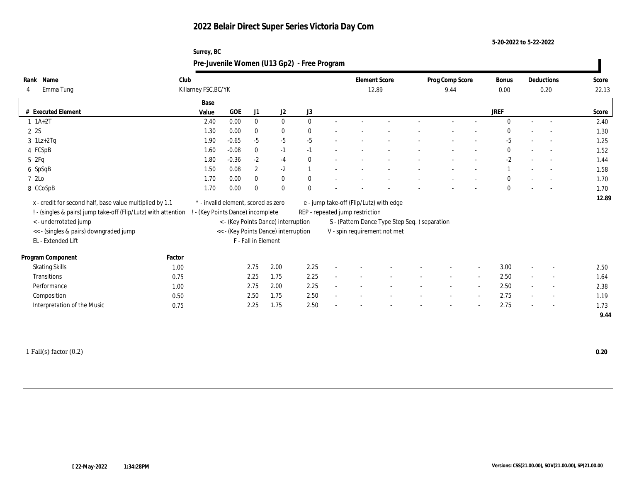**Surrey, BC**

**5-20-2022 to 5-22-2022**

|                                                                |        |                                     |         |                     |                                      | Pre-Juvenile Women (U13 Gp2) - Free Program |                                 |                                               |                         |                          |                      |        |                          |                |
|----------------------------------------------------------------|--------|-------------------------------------|---------|---------------------|--------------------------------------|---------------------------------------------|---------------------------------|-----------------------------------------------|-------------------------|--------------------------|----------------------|--------|--------------------------|----------------|
| Rank Name<br>Emma Tung<br>4                                    | Club   | Killarney FSC, BC/YK                |         |                     |                                      |                                             |                                 | <b>Element Score</b><br>12.89                 | Prog Comp Score<br>9.44 |                          | <b>Bonus</b><br>0.00 |        | Deductions<br>0.20       | Score<br>22.13 |
| # Executed Element                                             |        | Base<br>Value                       | GOE     | J1                  | J <sub>2</sub>                       | J3                                          |                                 |                                               |                         |                          | <b>JREF</b>          |        |                          | Score          |
| $1 \t1A+2T$                                                    |        | 2.40                                | 0.00    | $\mathbf{0}$        | $\mathbf{0}$                         | $\mathbf{0}$                                |                                 |                                               |                         |                          | $\mathbf{0}$         | $\sim$ | $\sim$                   | 2.40           |
| 2 2S                                                           |        | 1.30                                | 0.00    | $\bf{0}$            | $\mathbf{0}$                         |                                             |                                 |                                               |                         |                          |                      |        |                          | 1.30           |
| $3$ 1Lz+2Tq                                                    |        | 1.90                                | $-0.65$ | $-5$                | $-5$                                 | $-5$                                        |                                 |                                               |                         |                          | $-5$                 |        |                          | 1.25           |
| 4 FCSpB                                                        |        | 1.60                                | $-0.08$ | $\bf{0}$            | $-1$                                 | $-1$                                        |                                 |                                               |                         |                          | $\mathbf{0}$         |        | $\overline{a}$           | 1.52           |
| 52Fq                                                           |        | 1.80                                | $-0.36$ | $-2$                | $-4$                                 |                                             |                                 |                                               |                         |                          | $-2$                 |        | $\overline{\phantom{a}}$ | 1.44           |
| 6 SpSqB                                                        |        | 1.50                                | 0.08    | $\mathbf{2}$        | $-2$                                 |                                             |                                 |                                               |                         |                          |                      |        | $\overline{\phantom{a}}$ | 1.58           |
| 7 2Lo                                                          |        | 1.70                                | 0.00    | $\mathbf{0}$        | $\bf{0}$                             |                                             |                                 |                                               |                         |                          | $\mathbf{0}$         |        | $\overline{\phantom{a}}$ | 1.70           |
| 8 CCoSpB                                                       |        | 1.70                                | 0.00    | $\Omega$            | $\theta$                             |                                             |                                 |                                               |                         |                          | $\Omega$             |        |                          | 1.70           |
| x - credit for second half, base value multiplied by 1.1       |        | * - invalid element, scored as zero |         |                     |                                      |                                             |                                 | e - jump take-off (Flip/Lutz) with edge       |                         |                          |                      |        |                          | 12.89          |
| ! - (singles & pairs) jump take-off (Flip/Lutz) with attention |        | - (Key Points Dance) incomplete     |         |                     |                                      |                                             | REP - repeated jump restriction |                                               |                         |                          |                      |        |                          |                |
| <- underrotated jump                                           |        |                                     |         |                     | < - (Key Points Dance) interruption  |                                             |                                 | S - (Pattern Dance Type Step Seq.) separation |                         |                          |                      |        |                          |                |
| << - (singles & pairs) downgraded jump                         |        |                                     |         |                     | << - (Key Points Dance) interruption |                                             | V - spin requirement not met    |                                               |                         |                          |                      |        |                          |                |
| EL - Extended Lift                                             |        |                                     |         | F - Fall in Element |                                      |                                             |                                 |                                               |                         |                          |                      |        |                          |                |
| Program Component                                              | Factor |                                     |         |                     |                                      |                                             |                                 |                                               |                         |                          |                      |        |                          |                |
| <b>Skating Skills</b>                                          | 1.00   |                                     |         | 2.75                | 2.00                                 | 2.25                                        |                                 |                                               |                         | $\overline{\phantom{a}}$ | 3.00                 |        |                          | 2.50           |
| Transitions                                                    | 0.75   |                                     |         | 2.25                | 1.75                                 | 2.25                                        |                                 |                                               |                         | $\overline{\phantom{a}}$ | 2.50                 |        | $\sim$                   | 1.64           |
| Performance                                                    | 1.00   |                                     |         | 2.75                | 2.00                                 | 2.25                                        |                                 |                                               |                         | $\overline{\phantom{a}}$ | 2.50                 |        | $\sim$                   | 2.38           |
| Composition                                                    | 0.50   |                                     |         | 2.50                | 1.75                                 | 2.50                                        |                                 |                                               |                         | $\sim$                   | 2.75                 |        | $\overline{\phantom{a}}$ | 1.19           |
| Interpretation of the Music                                    | 0.75   |                                     |         | 2.25                | 1.75                                 | 2.50                                        |                                 |                                               |                         | $\overline{\phantom{a}}$ | 2.75                 |        | $\overline{\phantom{a}}$ | 1.73           |
|                                                                |        |                                     |         |                     |                                      |                                             |                                 |                                               |                         |                          |                      |        |                          | 9.44           |
|                                                                |        |                                     |         |                     |                                      |                                             |                                 |                                               |                         |                          |                      |        |                          |                |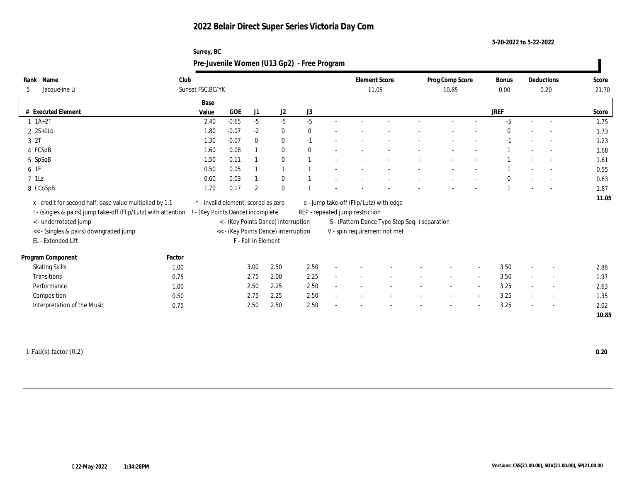**Surrey, BC**

**5-20-2022 to 5-22-2022**

|                                                                |        |                                     |         |                     |                                      | Pre-Juvenile Women (U13 Gp2) - Free Program |                                 |                                               |                          |                          |               |                          |                |
|----------------------------------------------------------------|--------|-------------------------------------|---------|---------------------|--------------------------------------|---------------------------------------------|---------------------------------|-----------------------------------------------|--------------------------|--------------------------|---------------|--------------------------|----------------|
| Rank Name<br>Jacqueline Li<br>5                                | Club   | Sunset FSC, BC/YK                   |         |                     |                                      |                                             |                                 | <b>Element Score</b><br>11.05                 | Prog Comp Score<br>10.85 |                          | Bonus<br>0.00 | Deductions<br>0.20       | Score<br>21.70 |
| # Executed Element                                             |        | Base<br>Value                       | GOE     | J1                  | J2                                   | J3                                          |                                 |                                               |                          |                          | <b>JREF</b>   |                          | Score          |
| $1 \t1A+2T$                                                    |        | 2.40                                | $-0.65$ | $-5$                | $-5$                                 | $-5$                                        |                                 |                                               |                          |                          | $-5$          | $\sim$                   | 1.75           |
| $2 \text{ } 2S+1LO$                                            |        | 1.80                                | $-0.07$ | $-2$                | $\bf{0}$                             |                                             |                                 |                                               |                          |                          |               |                          | 1.73           |
| 3 2T                                                           |        | 1.30                                | $-0.07$ | $\mathbf{0}$        | $\bf{0}$                             | $-1$                                        |                                 |                                               |                          |                          |               | $\overline{\phantom{a}}$ | 1.23           |
| 4 FCSpB                                                        |        | 1.60                                | 0.08    |                     | $\bf{0}$                             |                                             |                                 |                                               |                          |                          |               | $\sim$                   | 1.68           |
| 5 SpSqB                                                        |        | 1.50                                | 0.11    |                     | $\mathbf{0}$                         |                                             |                                 |                                               |                          |                          |               | $\overline{\phantom{a}}$ | 1.61           |
| 6 1F                                                           |        | 0.50                                | 0.05    |                     |                                      |                                             |                                 |                                               |                          |                          |               |                          | 0.55           |
| $7$ 1Lz                                                        |        | 0.60                                | 0.03    |                     | $\bf{0}$                             |                                             |                                 |                                               |                          |                          |               |                          | 0.63           |
| 8 CCoSpB                                                       |        | 1.70                                | 0.17    | $\overline{2}$      | $\theta$                             |                                             |                                 |                                               |                          |                          |               | $\overline{a}$           | 1.87           |
| x - credit for second half, base value multiplied by 1.1       |        | * - invalid element, scored as zero |         |                     |                                      |                                             |                                 | e - jump take-off (Flip/Lutz) with edge       |                          |                          |               |                          | 11.05          |
| ! - (singles & pairs) jump take-off (Flip/Lutz) with attention |        | - (Key Points Dance) incomplete     |         |                     |                                      |                                             | REP - repeated jump restriction |                                               |                          |                          |               |                          |                |
| <- underrotated jump                                           |        |                                     |         |                     | < - (Key Points Dance) interruption  |                                             |                                 | S - (Pattern Dance Type Step Seq.) separation |                          |                          |               |                          |                |
| << - (singles & pairs) downgraded jump                         |        |                                     |         |                     | << - (Key Points Dance) interruption |                                             | V - spin requirement not met    |                                               |                          |                          |               |                          |                |
| EL - Extended Lift                                             |        |                                     |         | F - Fall in Element |                                      |                                             |                                 |                                               |                          |                          |               |                          |                |
| Program Component                                              | Factor |                                     |         |                     |                                      |                                             |                                 |                                               |                          |                          |               |                          |                |
| <b>Skating Skills</b>                                          | 1.00   |                                     |         | 3.00                | 2.50                                 | 2.50                                        |                                 |                                               |                          |                          | 3.50          |                          | 2.88           |
| Transitions                                                    | 0.75   |                                     |         | 2.75                | 2.00                                 | 2.25                                        |                                 |                                               |                          | $\sim$                   | 3.50          | $\overline{\phantom{a}}$ | 1.97           |
| Performance                                                    | 1.00   |                                     |         | 2.50                | 2.25                                 | 2.50                                        |                                 |                                               |                          | $\sim$                   | 3.25          |                          | 2.63           |
| Composition                                                    | 0.50   |                                     |         | 2.75                | 2.25                                 | 2.50                                        |                                 |                                               |                          | $\sim$                   | 3.25          | $\overline{\phantom{a}}$ | 1.35           |
| Interpretation of the Music                                    | 0.75   |                                     |         | 2.50                | 2.50                                 | 2.50                                        |                                 |                                               |                          | $\overline{\phantom{a}}$ | 3.25          | $\overline{\phantom{a}}$ | 2.02           |
|                                                                |        |                                     |         |                     |                                      |                                             |                                 |                                               |                          |                          |               |                          | 10.85          |
|                                                                |        |                                     |         |                     |                                      |                                             |                                 |                                               |                          |                          |               |                          |                |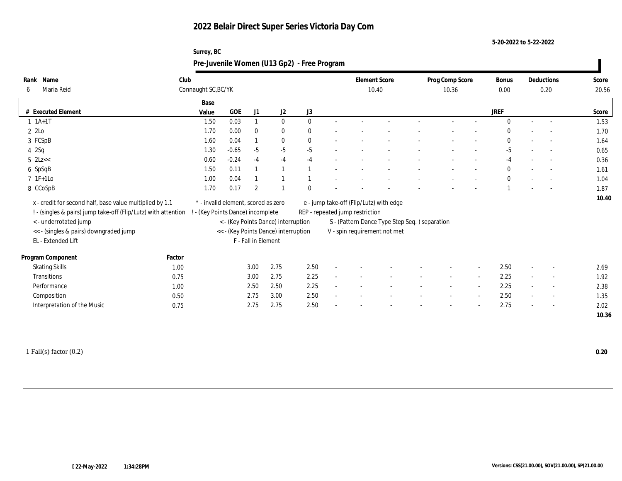**Surrey, BC**

**5-20-2022 to 5-22-2022**

| Rank Name<br>Maria Reid<br>6                                   | Club         | Connaught SC, BC/YK                 |          |                     |                                      |              | <b>Element Score</b><br>10.40           |                                               | Prog Comp Score<br>10.36 |                          | <b>Bonus</b><br>0.00 | Deductions<br>0.20       | Score<br>20.56 |
|----------------------------------------------------------------|--------------|-------------------------------------|----------|---------------------|--------------------------------------|--------------|-----------------------------------------|-----------------------------------------------|--------------------------|--------------------------|----------------------|--------------------------|----------------|
|                                                                |              | Base                                |          |                     |                                      |              |                                         |                                               |                          |                          |                      |                          |                |
| # Executed Element                                             |              | Value                               | GOE      | J1                  | J <sub>2</sub>                       | J3           |                                         |                                               |                          |                          | <b>JREF</b>          |                          | Score          |
| $1 \t1A+1T$                                                    |              | 1.50                                | $0.03\,$ |                     | $\mathbf{0}$                         | $\mathbf{0}$ |                                         |                                               |                          |                          | $\Omega$             | $\overline{a}$           | 1.53           |
| 2 2Lo                                                          |              | 1.70                                | 0.00     | $\bf{0}$            | $\bf{0}$                             |              |                                         |                                               |                          |                          |                      |                          | 1.70           |
| 3 FCSpB                                                        |              | 1.60                                | 0.04     |                     | $\mathbf{0}$                         | $\theta$     |                                         |                                               |                          |                          | $\Omega$             | $\overline{\phantom{a}}$ | 1.64           |
| 42Sq                                                           |              | 1.30                                | $-0.65$  | $-5$                | $-5$                                 | $-5$         |                                         |                                               |                          |                          | $-5$                 | $\overline{\phantom{a}}$ | 0.65           |
| $5$ 2Lz $<<$                                                   |              | 0.60                                | $-0.24$  | $-4$                | $-4$                                 | $-4$         |                                         |                                               |                          |                          | $-4$                 | $\overline{\phantom{a}}$ | 0.36           |
| 6 SpSqB                                                        |              | 1.50                                | 0.11     |                     |                                      |              |                                         |                                               |                          |                          | $\mathbf{0}$         | $\sim$                   | 1.61           |
| $7$ 1F+1Lo                                                     |              | 1.00                                | 0.04     |                     |                                      |              |                                         |                                               |                          |                          | $\mathbf{0}$         |                          | 1.04           |
| 8 CCoSpB                                                       |              | 1.70                                | 0.17     | $\overline{2}$      |                                      |              |                                         |                                               |                          |                          |                      | $\overline{\phantom{a}}$ | 1.87           |
|                                                                |              |                                     |          |                     |                                      |              |                                         |                                               |                          |                          |                      |                          |                |
| x - credit for second half, base value multiplied by 1.1       |              | * - invalid element, scored as zero |          |                     |                                      |              | e - jump take-off (Flip/Lutz) with edge |                                               |                          |                          |                      |                          | 10.40          |
| ! - (singles & pairs) jump take-off (Flip/Lutz) with attention |              | - (Key Points Dance) incomplete     |          |                     |                                      |              | REP - repeated jump restriction         |                                               |                          |                          |                      |                          |                |
| <- underrotated jump                                           |              |                                     |          |                     | < - (Key Points Dance) interruption  |              |                                         | S - (Pattern Dance Type Step Seq.) separation |                          |                          |                      |                          |                |
| << - (singles & pairs) downgraded jump                         |              |                                     |          |                     | << - (Key Points Dance) interruption |              | V - spin requirement not met            |                                               |                          |                          |                      |                          |                |
| EL - Extended Lift                                             |              |                                     |          | F - Fall in Element |                                      |              |                                         |                                               |                          |                          |                      |                          |                |
| Program Component                                              | Factor       |                                     |          |                     |                                      |              |                                         |                                               |                          |                          |                      |                          |                |
|                                                                | 1.00         |                                     |          | 3.00                | 2.75                                 | 2.50         |                                         |                                               |                          | $\overline{\phantom{a}}$ | 2.50                 |                          | 2.69           |
| <b>Skating Skills</b><br>Transitions                           | 0.75         |                                     |          | 3.00                | 2.75                                 | 2.25         |                                         |                                               |                          | $\overline{\phantom{a}}$ | 2.25                 |                          | 1.92           |
| Performance                                                    | 1.00         |                                     |          | 2.50                | 2.50                                 | 2.25         |                                         |                                               |                          | $\overline{\phantom{a}}$ | 2.25                 | $\overline{\phantom{a}}$ | 2.38           |
|                                                                |              |                                     |          | 2.75                | 3.00                                 | 2.50         |                                         |                                               |                          | $\overline{\phantom{a}}$ | 2.50                 | $\sim$                   | 1.35           |
| Composition<br>Interpretation of the Music                     | 0.50<br>0.75 |                                     |          | 2.75                | 2.75                                 | 2.50         |                                         |                                               |                          |                          | 2.75                 | $\overline{\phantom{a}}$ | 2.02           |

1 Fall(s) factor (0.2) **0.20**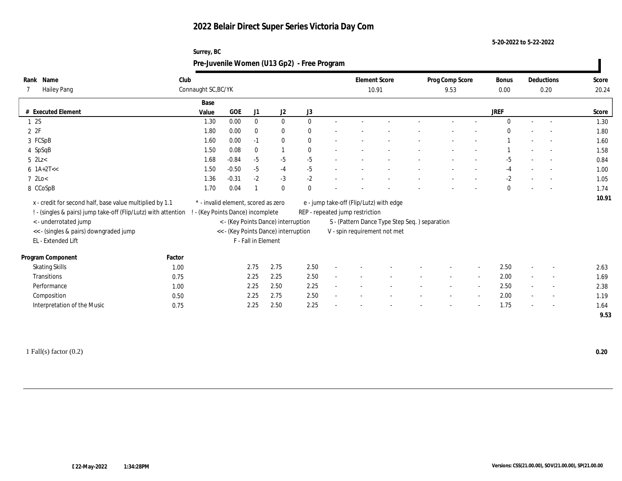**Surrey, BC**

**5-20-2022 to 5-22-2022**

|                                                                |        |                                     |         |                     |                                      | Pre-Juvenile Women (U13 Gp2) - Free Program |                                               |  |                          |                          |               |                          |                          |                |
|----------------------------------------------------------------|--------|-------------------------------------|---------|---------------------|--------------------------------------|---------------------------------------------|-----------------------------------------------|--|--------------------------|--------------------------|---------------|--------------------------|--------------------------|----------------|
| Rank Name<br><b>Hailey Pang</b>                                | Club   | Connaught SC, BC/YK                 |         |                     |                                      |                                             | <b>Element Score</b><br>10.91                 |  | Prog Comp Score<br>9.53  |                          | Bonus<br>0.00 |                          | Deductions<br>0.20       | Score<br>20.24 |
|                                                                |        | Base                                |         |                     |                                      |                                             |                                               |  |                          |                          |               |                          |                          |                |
| # Executed Element                                             |        | Value                               | GOE     | J1                  | J2                                   | $_{\mathrm{J}3}$                            |                                               |  |                          |                          | <b>JREF</b>   |                          |                          | Score          |
| 12S                                                            |        | 1.30                                | 0.00    | $\mathbf{0}$        | $\mathbf{0}$                         | $\mathbf{0}$                                |                                               |  |                          |                          | $\Omega$      |                          | $\overline{\phantom{a}}$ | 1.30           |
| 2ZF                                                            |        | 1.80                                | 0.00    | $\theta$            | $\bf{0}$                             | $\mathbf{0}$                                |                                               |  |                          |                          |               |                          |                          | 1.80           |
| 3 FCSpB                                                        |        | 1.60                                | 0.00    | $-1$                | $\bf{0}$                             | $\bf{0}$                                    |                                               |  |                          |                          |               |                          | $\overline{\phantom{a}}$ | 1.60           |
| 4 SpSqB                                                        |        | 1.50                                | 0.08    | $\mathbf{0}$        |                                      | $\bf{0}$                                    |                                               |  |                          |                          |               |                          |                          | 1.58           |
| $5$ 2Lz $<$                                                    |        | 1.68                                | $-0.84$ | $-5$                | $-5$                                 | $-5$                                        |                                               |  |                          |                          | $-5$          |                          | $\sim$                   | 0.84           |
| $6$ 1A+2T <<                                                   |        | 1.50                                | $-0.50$ | $-5$                | $-4$                                 | $-5$                                        |                                               |  |                          |                          | $-4$          |                          | $\sim$                   | 1.00           |
| $7 \text{ } 2 \text{Lo}$                                       |        | 1.36                                | $-0.31$ | $-2$                | $-3$                                 | $-2$                                        |                                               |  |                          |                          | $-2$          |                          | $\sim$                   | 1.05           |
| 8 CCoSpB                                                       |        | 1.70                                | 0.04    |                     | $\theta$                             | $\bf{0}$                                    |                                               |  |                          |                          | $\mathbf{0}$  |                          |                          | 1.74           |
| x - credit for second half, base value multiplied by 1.1       |        | * - invalid element, scored as zero |         |                     |                                      |                                             | e - jump take-off (Flip/Lutz) with edge       |  |                          |                          |               |                          |                          | 10.91          |
| ! - (singles & pairs) jump take-off (Flip/Lutz) with attention |        | - (Key Points Dance) incomplete     |         |                     |                                      |                                             | REP - repeated jump restriction               |  |                          |                          |               |                          |                          |                |
| <- underrotated jump                                           |        |                                     |         |                     | < - (Key Points Dance) interruption  |                                             | S - (Pattern Dance Type Step Seq.) separation |  |                          |                          |               |                          |                          |                |
| << - (singles & pairs) downgraded jump                         |        |                                     |         |                     | << - (Key Points Dance) interruption |                                             | V - spin requirement not met                  |  |                          |                          |               |                          |                          |                |
| EL - Extended Lift                                             |        |                                     |         | F - Fall in Element |                                      |                                             |                                               |  |                          |                          |               |                          |                          |                |
|                                                                |        |                                     |         |                     |                                      |                                             |                                               |  |                          |                          |               |                          |                          |                |
| Program Component                                              | Factor |                                     |         |                     |                                      |                                             |                                               |  |                          |                          |               |                          |                          |                |
| <b>Skating Skills</b>                                          | 1.00   |                                     |         | 2.75                | 2.75                                 | 2.50                                        |                                               |  |                          |                          | 2.50          |                          |                          | 2.63           |
| Transitions                                                    | 0.75   |                                     |         | 2.25                | 2.25                                 | 2.50                                        |                                               |  | $\overline{\phantom{a}}$ | $\sim$                   | 2.00          | $\overline{\phantom{a}}$ | $\sim$                   | 1.69           |
| Performance                                                    | 1.00   |                                     |         | 2.25                | 2.50                                 | 2.25                                        |                                               |  |                          | $\sim$                   | 2.50          |                          |                          | 2.38           |
| Composition                                                    | 0.50   |                                     |         | 2.25                | 2.75                                 | 2.50                                        |                                               |  |                          | $\overline{\phantom{a}}$ | 2.00          |                          | $\overline{\phantom{a}}$ | 1.19           |
| Interpretation of the Music                                    | 0.75   |                                     |         | 2.25                | 2.50                                 | 2.25                                        |                                               |  |                          |                          | 1.75          |                          | $\overline{\phantom{a}}$ | 1.64           |
|                                                                |        |                                     |         |                     |                                      |                                             |                                               |  |                          |                          |               |                          |                          | 9.53           |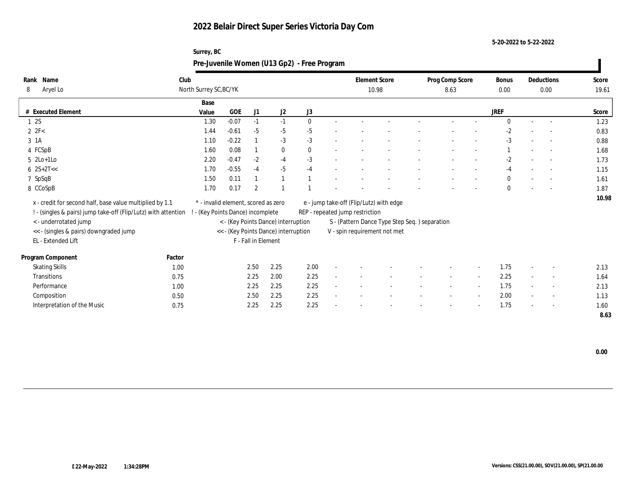**Surrey, BC**

**5-20-2022 to 5-22-2022**

|                                                                 |        |                                     |         |                     |                                                                             | Pre-Juvenile Women (U13 Gp2) - Free Program |                                         |                                               |                 |                          |              |                          |       |
|-----------------------------------------------------------------|--------|-------------------------------------|---------|---------------------|-----------------------------------------------------------------------------|---------------------------------------------|-----------------------------------------|-----------------------------------------------|-----------------|--------------------------|--------------|--------------------------|-------|
| Rank Name                                                       | Club   |                                     |         |                     |                                                                             |                                             | <b>Element Score</b>                    |                                               | Prog Comp Score |                          | <b>Bonus</b> | Deductions               | Score |
| Aryel Lo<br>8                                                   |        | North Surrey SC, BC/YK              |         |                     |                                                                             |                                             | 10.98                                   |                                               | 8.63            |                          | 0.00         | 0.00                     | 19.61 |
|                                                                 |        | Base                                |         |                     |                                                                             |                                             |                                         |                                               |                 |                          |              |                          |       |
| # Executed Element                                              |        | Value                               | GOE     | J1                  | J <sub>2</sub>                                                              | J3                                          |                                         |                                               |                 |                          | <b>JREF</b>  |                          | Score |
| 1 2S                                                            |        | 1.30                                | $-0.07$ | $-1$                | $-1$                                                                        | $\mathbf{0}$                                |                                         |                                               |                 |                          | $\Omega$     | $\overline{\phantom{a}}$ | 1.23  |
| $2 \text{ } 2\text{F}$                                          |        | 1.44                                | $-0.61$ | $-5$                | $-5$                                                                        | $-5$                                        |                                         |                                               |                 |                          | $-2$         |                          | 0.83  |
| 3 1A                                                            |        | 1.10                                | $-0.22$ |                     | $-3$                                                                        | $-3$                                        |                                         |                                               |                 |                          | $-3$         | $\sim$                   | 0.88  |
| 4 FCSpB                                                         |        | 1.60                                | 0.08    |                     | $\bf{0}$                                                                    | $\mathbf{0}$                                |                                         |                                               |                 |                          |              | $\sim$                   | 1.68  |
| $5 \text{2Lo+1Lo}$                                              |        | 2.20                                | $-0.47$ | $-2$                | $-4$                                                                        | $-3$                                        |                                         |                                               |                 |                          | $-2$         |                          | 1.73  |
| $6 \ \ 2S+2T<<$                                                 |        | 1.70                                | $-0.55$ | $-4$                | $-5$                                                                        | $-4$                                        |                                         |                                               |                 |                          | $-4$         |                          | 1.15  |
| 7 SpSqB                                                         |        | 1.50                                | 0.11    |                     |                                                                             |                                             |                                         |                                               |                 |                          | $\mathbf{0}$ | $\sim$                   | 1.61  |
| 8 CCoSpB                                                        |        | 1.70                                | 0.17    | $\overline{2}$      |                                                                             |                                             |                                         |                                               |                 |                          | $\mathbf{0}$ |                          | 1.87  |
| x - credit for second half, base value multiplied by 1.1        |        | * - invalid element, scored as zero |         |                     |                                                                             |                                             | e - jump take-off (Flip/Lutz) with edge |                                               |                 |                          |              |                          | 10.98 |
| ! - (singles & pairs) jump take-off (Flip/Lutz) with attention  |        | - (Key Points Dance) incomplete     |         |                     |                                                                             |                                             | REP - repeated jump restriction         |                                               |                 |                          |              |                          |       |
|                                                                 |        |                                     |         |                     |                                                                             |                                             |                                         |                                               |                 |                          |              |                          |       |
| < - underrotated jump<br><< - (singles & pairs) downgraded jump |        |                                     |         |                     | < - (Key Points Dance) interruption<br><< - (Key Points Dance) interruption |                                             | V - spin requirement not met            | S - (Pattern Dance Type Step Seq.) separation |                 |                          |              |                          |       |
| EL - Extended Lift                                              |        |                                     |         | F - Fall in Element |                                                                             |                                             |                                         |                                               |                 |                          |              |                          |       |
|                                                                 |        |                                     |         |                     |                                                                             |                                             |                                         |                                               |                 |                          |              |                          |       |
| Program Component                                               | Factor |                                     |         |                     |                                                                             |                                             |                                         |                                               |                 |                          |              |                          |       |
| <b>Skating Skills</b>                                           | 1.00   |                                     |         | 2.50                | 2.25                                                                        | 2.00                                        |                                         |                                               |                 | $\overline{\phantom{a}}$ | 1.75         |                          | 2.13  |
| Transitions                                                     | 0.75   |                                     |         | 2.25                | 2.00                                                                        | 2.25                                        |                                         |                                               |                 | $\sim$                   | 2.25         |                          | 1.64  |
| Performance                                                     | 1.00   |                                     |         | 2.25                | 2.25                                                                        | 2.25                                        |                                         |                                               |                 | $\sim$                   | 1.75         | $\sim$                   | 2.13  |
| Composition                                                     | 0.50   |                                     |         | 2.50                | 2.25                                                                        | 2.25                                        |                                         |                                               |                 | $\sim$                   | 2.00         | $\overline{\phantom{a}}$ | 1.13  |
| Interpretation of the Music                                     | 0.75   |                                     |         | 2.25                | 2.25                                                                        | 2.25                                        |                                         |                                               |                 |                          | 1.75         |                          | 1.60  |
|                                                                 |        |                                     |         |                     |                                                                             |                                             |                                         |                                               |                 |                          |              |                          | 8.63  |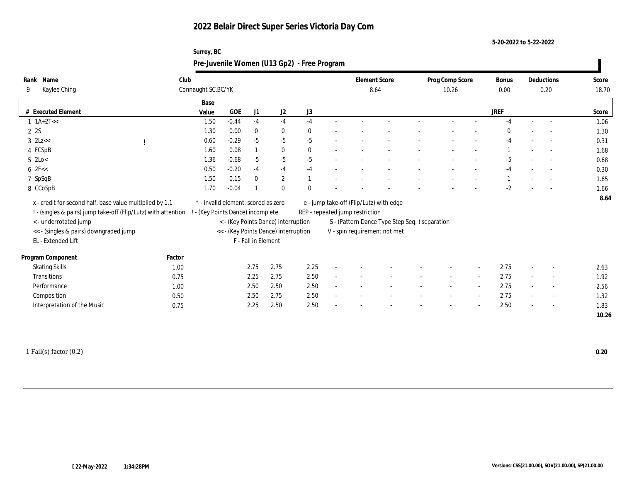**5-20-2022 to 5-22-2022**

|                                                                                                                                                                                                                     | Surrey, BC<br>Pre-Juvenile Women (U13 Gp2) - Free Program              |            |                     |                                                                             |      |                                                                                                                                                             |  |                          |               |                          |                |
|---------------------------------------------------------------------------------------------------------------------------------------------------------------------------------------------------------------------|------------------------------------------------------------------------|------------|---------------------|-----------------------------------------------------------------------------|------|-------------------------------------------------------------------------------------------------------------------------------------------------------------|--|--------------------------|---------------|--------------------------|----------------|
| Rank Name<br>Kaylee Ching<br>9                                                                                                                                                                                      | Club<br>Connaught SC, BC/YK                                            |            |                     |                                                                             |      | <b>Element Score</b><br>8.64                                                                                                                                |  | Prog Comp Score<br>10.26 | Bonus<br>0.00 | Deductions<br>0.20       | Score<br>18.70 |
|                                                                                                                                                                                                                     | Base                                                                   |            |                     |                                                                             |      |                                                                                                                                                             |  |                          |               |                          |                |
| # Executed Element                                                                                                                                                                                                  | Value                                                                  | <b>GOE</b> | J1                  | J2                                                                          | J3   |                                                                                                                                                             |  |                          | <b>JREF</b>   |                          | Score          |
| $1 \text{ 1A+2T}<<$                                                                                                                                                                                                 | 1.50                                                                   | $-0.44$    | $-4$                | $-4$                                                                        | -4   |                                                                                                                                                             |  |                          |               |                          | 1.06           |
| 22S                                                                                                                                                                                                                 | 1.30                                                                   | 0.00       |                     | $\bf{0}$                                                                    |      |                                                                                                                                                             |  |                          |               |                          | 1.30           |
| $3$ $2Lz <$                                                                                                                                                                                                         | 0.60                                                                   | $-0.29$    | $-5$                | $-5$                                                                        | $-5$ |                                                                                                                                                             |  |                          | $-4$          | $\sim$                   | 0.31           |
| 4 FCSpB                                                                                                                                                                                                             | 1.60                                                                   | 0.08       |                     | $\bf{0}$                                                                    | 0    |                                                                                                                                                             |  |                          |               | $\overline{\phantom{a}}$ | 1.68           |
| $5 \text{ } 2\text{Lo}$                                                                                                                                                                                             | 1.36                                                                   | $-0.68$    | $-5$                | $-5$                                                                        | $-5$ |                                                                                                                                                             |  |                          | $-5$          | $\sim$                   | 0.68           |
| $6$ $2F <$                                                                                                                                                                                                          | 0.50                                                                   | $-0.20$    | $-4$                | $-4$                                                                        | $-4$ |                                                                                                                                                             |  |                          | $-4$          | $\overline{\phantom{a}}$ | 0.30           |
| 7 SpSqB                                                                                                                                                                                                             | 1.50                                                                   | 0.15       |                     | $\mathbf{2}$                                                                |      |                                                                                                                                                             |  |                          |               | $\sim$                   | 1.65           |
| 8 CCoSpB                                                                                                                                                                                                            | 1.70                                                                   | $-0.04$    |                     | $\mathbf{0}$                                                                |      |                                                                                                                                                             |  |                          | -2            |                          | 1.66           |
| x - credit for second half, base value multiplied by 1.1<br>! - (singles & pairs) jump take-off (Flip/Lutz) with attention<br>< - underrotated jump<br><< - (singles & pairs) downgraded jump<br>EL - Extended Lift | * - invalid element, scored as zero<br>- (Key Points Dance) incomplete |            | F - Fall in Element | < - (Key Points Dance) interruption<br><< - (Key Points Dance) interruption |      | e - jump take-off (Flip/Lutz) with edge<br>REP - repeated jump restriction<br>S - (Pattern Dance Type Step Seq.) separation<br>V - spin requirement not met |  |                          |               |                          | 8.64           |

| Program Component           | Factor |              |      |                          |                          |        |                          |                          |      |                          |        |      |
|-----------------------------|--------|--------------|------|--------------------------|--------------------------|--------|--------------------------|--------------------------|------|--------------------------|--------|------|
| <b>Skating Skills</b>       | 1.00   | 2.75<br>2.75 | 2.25 |                          | $\overline{\phantom{a}}$ |        | $\overline{\phantom{0}}$ |                          | 2.75 |                          | $-$    | 2.63 |
| Transitions                 | 0.75   | 2.75<br>2.25 | 2.50 |                          |                          |        | $\overline{\phantom{0}}$ |                          | 2.75 |                          | $\sim$ | 1.92 |
| Performance                 | 1.00   | 2.50<br>2.50 | 2.50 |                          |                          |        |                          |                          | 2.75 |                          | $\sim$ | 2.56 |
| Composition                 | 0.50   | 2.50<br>2.75 | 2.50 | $\overline{\phantom{0}}$ | $\sim$                   | $\sim$ | $\sim$                   | $\overline{\phantom{0}}$ | 2.75 | $\overline{\phantom{0}}$ | $-$    | 1.32 |
| Interpretation of the Music | 0.75   | 2.25<br>2.50 | 2.50 | $\overline{\phantom{a}}$ | $\overline{\phantom{a}}$ | $\sim$ | $\overline{\phantom{0}}$ | $\overline{\phantom{0}}$ | 2.50 | $\overline{\phantom{0}}$ | $-$    | 1.83 |
|                             |        |              |      |                          |                          |        |                          |                          |      |                          |        |      |

1 Fall(s) factor (0.2) **0.20**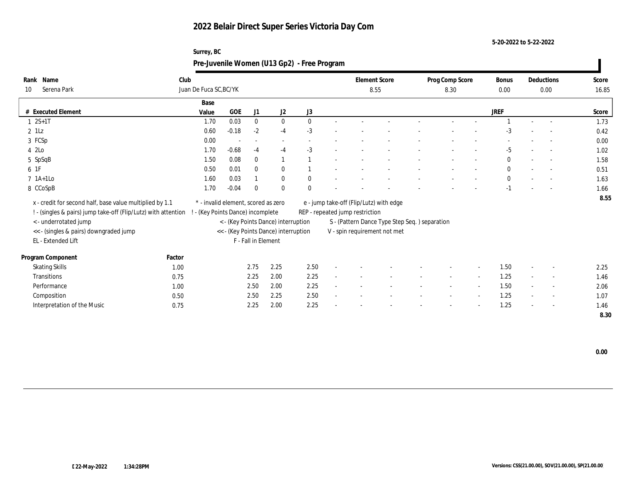**5-20-2022 to 5-22-2022**

|                                                                |        | Surrey, BC                          |                                      |                     |                | Pre-Juvenile Women (U13 Gp2) - Free Program |                                         |                                               |                         |                          |               |        |                          |                |
|----------------------------------------------------------------|--------|-------------------------------------|--------------------------------------|---------------------|----------------|---------------------------------------------|-----------------------------------------|-----------------------------------------------|-------------------------|--------------------------|---------------|--------|--------------------------|----------------|
| Rank Name<br>Serena Park<br>10                                 | Club   | Juan De Fuca SC, BC/YK              |                                      |                     |                |                                             | <b>Element Score</b><br>8.55            |                                               | Prog Comp Score<br>8.30 |                          | Bonus<br>0.00 |        | Deductions<br>0.00       | Score<br>16.85 |
|                                                                |        |                                     |                                      |                     |                |                                             |                                         |                                               |                         |                          |               |        |                          |                |
| # Executed Element                                             |        | Base<br>Value                       | <b>GOE</b>                           | J1                  | J <sub>2</sub> | J3                                          |                                         |                                               |                         |                          | <b>JREF</b>   |        |                          | Score          |
| $2S+1T$                                                        |        | 1.70                                | 0.03                                 | $\mathbf{0}$        | $\mathbf{0}$   | $\Omega$                                    |                                         |                                               |                         |                          |               |        |                          | 1.73           |
| $2$ 1Lz                                                        |        | 0.60                                | $-0.18$                              | $-2$                | $-4$           | $-3$                                        |                                         |                                               |                         |                          |               |        |                          | 0.42           |
| 3 FCSp                                                         |        | 0.00                                |                                      |                     |                |                                             |                                         |                                               |                         |                          |               |        |                          | 0.00           |
| 4 2Lo                                                          |        | 1.70                                | $-0.68$                              | $-4$                | $-4$           | $-3$                                        |                                         |                                               |                         |                          | $-5$          |        | $\overline{\phantom{a}}$ | 1.02           |
| 5 SpSqB                                                        |        | 1.50                                | 0.08                                 | $\theta$            |                |                                             |                                         |                                               |                         |                          | $\theta$      |        |                          | 1.58           |
| 6 1F                                                           |        | 0.50                                | 0.01                                 | $\mathbf{0}$        | $\bf{0}$       |                                             |                                         |                                               |                         |                          | $\theta$      |        |                          | 0.51           |
| $7$ 1A+1Lo                                                     |        | 1.60                                | 0.03                                 |                     | $\mathbf{0}$   | $\mathbf{0}$                                |                                         |                                               |                         |                          | $\mathbf{0}$  |        |                          | 1.63           |
| 8 CCoSpB                                                       |        | 1.70                                | $-0.04$                              | $\Omega$            | $\mathbf{0}$   |                                             |                                         |                                               |                         |                          | $-1$          |        |                          | 1.66           |
| x - credit for second half, base value multiplied by 1.1       |        | * - invalid element, scored as zero |                                      |                     |                |                                             | e - jump take-off (Flip/Lutz) with edge |                                               |                         |                          |               |        |                          | 8.55           |
| ! - (singles & pairs) jump take-off (Flip/Lutz) with attention |        | ! - (Key Points Dance) incomplete   |                                      |                     |                |                                             | REP - repeated jump restriction         |                                               |                         |                          |               |        |                          |                |
| < - underrotated jump                                          |        |                                     | < - (Key Points Dance) interruption  |                     |                |                                             |                                         | S - (Pattern Dance Type Step Seq.) separation |                         |                          |               |        |                          |                |
| << - (singles & pairs) downgraded jump                         |        |                                     | << - (Key Points Dance) interruption |                     |                |                                             | V - spin requirement not met            |                                               |                         |                          |               |        |                          |                |
| EL - Extended Lift                                             |        |                                     |                                      | F - Fall in Element |                |                                             |                                         |                                               |                         |                          |               |        |                          |                |
|                                                                |        |                                     |                                      |                     |                |                                             |                                         |                                               |                         |                          |               |        |                          |                |
| Program Component                                              | Factor |                                     |                                      |                     |                |                                             |                                         |                                               |                         |                          |               |        |                          |                |
| <b>Skating Skills</b>                                          | 1.00   |                                     |                                      | 2.75                | 2.25           | 2.50                                        |                                         |                                               |                         | $\sim$                   | 1.50          | $\sim$ |                          | 2.25           |
| Transitions                                                    | 0.75   |                                     |                                      | 2.25                | 2.00           | 2.25                                        |                                         |                                               |                         | $\sim$                   | 1.25          |        | $\overline{a}$           | 1.46           |
| Performance                                                    | 1.00   |                                     |                                      | 2.50                | 2.00           | 2.25                                        |                                         |                                               |                         | $\overline{\phantom{a}}$ | 1.50          | $\sim$ | $\sim$                   | 2.06           |
| Composition                                                    | 0.50   |                                     |                                      | 2.50                | 2.25           | 2.50                                        |                                         |                                               |                         |                          | 1.25          |        |                          | 1.07           |
| Interpretation of the Music                                    | 0.75   |                                     |                                      | 2.25                | 2.00           | 2.25                                        |                                         |                                               |                         |                          | 1.25          |        |                          | 1.46           |
|                                                                |        |                                     |                                      |                     |                |                                             |                                         |                                               |                         |                          |               |        |                          | 8.30           |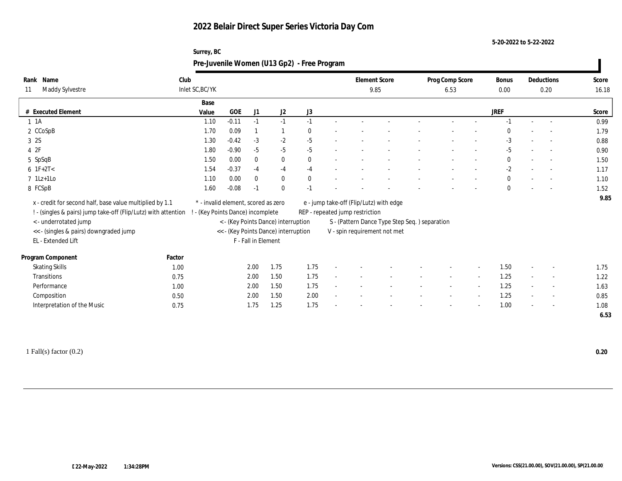**Surrey, BC**

**5-20-2022 to 5-22-2022**

|                                                                                                                            |        |                                                                        |         |                     |                                      | Pre-Juvenile Women (U13 Gp2) - Free Program |                                                                            |                                               |                         |                          |                      |        |                          |                |
|----------------------------------------------------------------------------------------------------------------------------|--------|------------------------------------------------------------------------|---------|---------------------|--------------------------------------|---------------------------------------------|----------------------------------------------------------------------------|-----------------------------------------------|-------------------------|--------------------------|----------------------|--------|--------------------------|----------------|
| Rank Name<br>Maddy Sylvestre<br>11                                                                                         | Club   | Inlet SC, BC/YK                                                        |         |                     |                                      |                                             |                                                                            | <b>Element Score</b><br>9.85                  | Prog Comp Score<br>6.53 |                          | <b>Bonus</b><br>0.00 |        | Deductions<br>0.20       | Score<br>16.18 |
| # Executed Element                                                                                                         |        | Base<br>Value                                                          | GOE     | J1                  | J <sub>2</sub>                       | J3                                          |                                                                            |                                               |                         |                          | <b>JREF</b>          |        |                          | Score          |
| $1 \t1A$                                                                                                                   |        | 1.10                                                                   | $-0.11$ | $-1$                | $-1$                                 | $-1$                                        |                                                                            |                                               |                         |                          |                      |        | $\sim$                   | 0.99           |
| 2 CCoSpB                                                                                                                   |        | 1.70                                                                   | 0.09    |                     |                                      |                                             |                                                                            |                                               |                         |                          |                      |        |                          | 1.79           |
| 3 2S                                                                                                                       |        | 1.30                                                                   | $-0.42$ | $-3$                | $-2$                                 | $-5$                                        |                                                                            |                                               |                         |                          | $-3$                 |        | $\overline{\phantom{a}}$ | 0.88           |
| 4 2F                                                                                                                       |        | 1.80                                                                   | $-0.90$ | $-5$                | $-5$                                 | $-5$                                        |                                                                            |                                               |                         |                          | $-5$                 |        | $\overline{a}$           | 0.90           |
| 5 SpSqB                                                                                                                    |        | 1.50                                                                   | 0.00    | $\bf{0}$            | $\bf{0}$                             | $\Omega$                                    |                                                                            |                                               |                         |                          | $\mathbf{0}$         |        | $\overline{\phantom{a}}$ | 1.50           |
| $6$ 1F+2T<                                                                                                                 |        | 1.54                                                                   | $-0.37$ | $-4$                | $-4$                                 | $-4$                                        |                                                                            |                                               |                         |                          | $-2$                 |        | $\overline{\phantom{a}}$ | 1.17           |
| $7$ 1Lz+1Lo                                                                                                                |        | 1.10                                                                   | 0.00    | $\mathbf{0}$        | $\mathbf{0}$                         |                                             |                                                                            |                                               |                         |                          | $\bf{0}$             |        | $\sim$                   | 1.10           |
| 8 FCSpB                                                                                                                    |        | 1.60                                                                   | $-0.08$ | -1                  | $\bf{0}$                             |                                             |                                                                            |                                               |                         |                          | $\Omega$             |        |                          | 1.52           |
| x - credit for second half, base value multiplied by 1.1<br>! - (singles & pairs) jump take-off (Flip/Lutz) with attention |        | * - invalid element, scored as zero<br>- (Key Points Dance) incomplete |         |                     |                                      |                                             | e - jump take-off (Flip/Lutz) with edge<br>REP - repeated jump restriction |                                               |                         |                          |                      |        |                          | 9.85           |
| <- underrotated jump                                                                                                       |        |                                                                        |         |                     | < - (Key Points Dance) interruption  |                                             |                                                                            | S - (Pattern Dance Type Step Seq.) separation |                         |                          |                      |        |                          |                |
| << - (singles & pairs) downgraded jump                                                                                     |        |                                                                        |         |                     | << - (Key Points Dance) interruption |                                             | V - spin requirement not met                                               |                                               |                         |                          |                      |        |                          |                |
| EL - Extended Lift                                                                                                         |        |                                                                        |         | F - Fall in Element |                                      |                                             |                                                                            |                                               |                         |                          |                      |        |                          |                |
| Program Component                                                                                                          | Factor |                                                                        |         |                     |                                      |                                             |                                                                            |                                               |                         |                          |                      |        |                          |                |
| <b>Skating Skills</b>                                                                                                      | 1.00   |                                                                        |         | 2.00                | 1.75                                 | 1.75                                        |                                                                            |                                               |                         |                          | 1.50                 |        |                          | 1.75           |
| Transitions                                                                                                                | 0.75   |                                                                        |         | 2.00                | 1.50                                 | 1.75                                        |                                                                            |                                               |                         | $\sim$                   | 1.25                 | $\sim$ | $\sim$                   | 1.22           |
| Performance                                                                                                                | 1.00   |                                                                        |         | 2.00                | 1.50                                 | 1.75                                        |                                                                            |                                               |                         | $\overline{\phantom{a}}$ | 1.25                 |        |                          | 1.63           |
| Composition                                                                                                                | 0.50   |                                                                        |         | 2.00                | 1.50                                 | 2.00                                        |                                                                            |                                               |                         | $\overline{\phantom{a}}$ | 1.25                 |        | $\overline{\phantom{a}}$ | 0.85           |
| Interpretation of the Music                                                                                                | 0.75   |                                                                        |         | 1.75                | 1.25                                 | 1.75                                        |                                                                            |                                               |                         |                          | 1.00                 |        | $\overline{\phantom{a}}$ | 1.08           |
|                                                                                                                            |        |                                                                        |         |                     |                                      |                                             |                                                                            |                                               |                         |                          |                      |        |                          | 6.53           |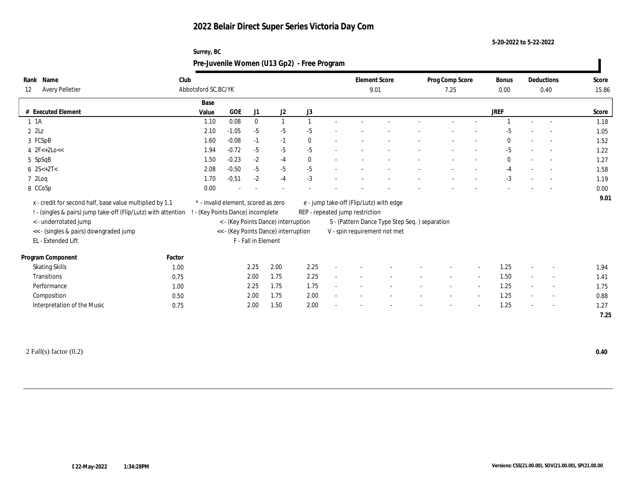**5-20-2022 to 5-22-2022**

| Rank Name                                                                                                                  | Club                                                                   |                      |                     |                                      |      |  |                                 | <b>Element Score</b>                           | Prog Comp Score |  |             |                          | Deductions               | Score |
|----------------------------------------------------------------------------------------------------------------------------|------------------------------------------------------------------------|----------------------|---------------------|--------------------------------------|------|--|---------------------------------|------------------------------------------------|-----------------|--|-------------|--------------------------|--------------------------|-------|
| <b>Avery Pelletier</b><br>12                                                                                               |                                                                        | Abbotsford SC, BC/YK |                     |                                      |      |  |                                 |                                                | 7.25            |  |             | 0.40                     |                          | 15.86 |
|                                                                                                                            | Base                                                                   |                      |                     |                                      |      |  |                                 |                                                |                 |  |             |                          |                          |       |
| # Executed Element                                                                                                         | Value                                                                  | GOE                  | J1                  | J2                                   | J3   |  |                                 |                                                |                 |  | <b>JREF</b> |                          |                          | Score |
| 1 1 A                                                                                                                      | 1.10                                                                   | 0.08                 |                     |                                      |      |  |                                 |                                                |                 |  |             |                          |                          | 1.18  |
| $2$ $2$ Lz                                                                                                                 | 2.10                                                                   | $-1.05$              | $-5$                | $-5$                                 | -5   |  |                                 |                                                |                 |  | -5          |                          |                          | 1.05  |
| 3 FCSpB                                                                                                                    | 1.60                                                                   | $-0.08$              | $-1$                | $-1$                                 | 0    |  |                                 |                                                |                 |  | $\bf{0}$    | $\overline{\phantom{a}}$ | $\sim$                   | 1.52  |
| 4 $2F<+2Lo<<$                                                                                                              | 1.94                                                                   | $-0.72$              | $-5$                | $-5$                                 | $-5$ |  |                                 |                                                |                 |  | $-5$        |                          | $\sim$                   | 1.22  |
| 5 SpSqB                                                                                                                    | 1.50                                                                   | $-0.23$              | $-2$                | $-4$                                 | 0    |  |                                 |                                                |                 |  | $\Omega$    |                          | $\overline{\phantom{a}}$ | 1.27  |
| 6 $2S<+2T<$                                                                                                                | 2.08                                                                   | $-0.50$              | $-5$                | $-5$                                 | $-5$ |  |                                 |                                                |                 |  | $-4$        |                          |                          | 1.58  |
| $72$ Loq                                                                                                                   | 1.70                                                                   | $-0.51$              | $-2$                | $-4$                                 | $-3$ |  |                                 |                                                |                 |  | $-3$        |                          | $\sim$                   | 1.19  |
| 8 CCoSp                                                                                                                    | 0.00                                                                   |                      |                     |                                      |      |  |                                 |                                                |                 |  |             |                          |                          | 0.00  |
| x - credit for second half, base value multiplied by 1.1<br>! - (singles & pairs) jump take-off (Flip/Lutz) with attention | * - invalid element, scored as zero<br>- (Key Points Dance) incomplete |                      |                     |                                      |      |  | REP - repeated jump restriction | e - jump take-off (Flip/Lutz) with edge        |                 |  |             |                          |                          | 9.01  |
| < - underrotated jump                                                                                                      |                                                                        |                      |                     | < - (Key Points Dance) interruption  |      |  |                                 | S - (Pattern Dance Type Step Seq. ) separation |                 |  |             |                          |                          |       |
|                                                                                                                            |                                                                        |                      |                     |                                      |      |  |                                 |                                                |                 |  |             |                          |                          |       |
| << - (singles & pairs) downgraded jump<br>EL - Extended Lift                                                               |                                                                        |                      | F - Fall in Element | << - (Key Points Dance) interruption |      |  |                                 | V - spin requirement not met                   |                 |  |             |                          |                          |       |

|        | $F - Fa$ |
|--------|----------|
|        |          |
| Factor |          |

| Program Component           | Factor |              |      |                          |                          |                          |                          |      |                          |      |
|-----------------------------|--------|--------------|------|--------------------------|--------------------------|--------------------------|--------------------------|------|--------------------------|------|
| <b>Skating Skills</b>       | 1.00   | 2.25<br>2.00 | 2.25 |                          |                          | $\sim$                   |                          | 1.25 | $\sim$                   | 1.94 |
| Transitions                 | 0.75   | 1.75<br>2.00 | 2.25 |                          |                          |                          |                          | 1.50 | $\sim$                   | 1.41 |
| Performance                 | 1.00   | 1.75<br>2.25 | 1.75 | $\overline{\phantom{a}}$ | $\overline{\phantom{0}}$ | $\overline{\phantom{a}}$ | $\overline{\phantom{0}}$ | 1.25 | $\sim$                   | 1.75 |
| Composition                 | 0.50   | 1.75<br>2.00 | 2.00 |                          | $\overline{\phantom{0}}$ | $\overline{\phantom{a}}$ |                          | 1.25 | $\overline{\phantom{0}}$ | 0.88 |
| Interpretation of the Music | 0.75   | 1.50<br>2.00 | 2.00 |                          |                          | $\overline{\phantom{a}}$ |                          | 1.25 | $\overline{\phantom{0}}$ | 1.27 |
|                             |        |              |      |                          |                          |                          |                          |      |                          | 7.25 |